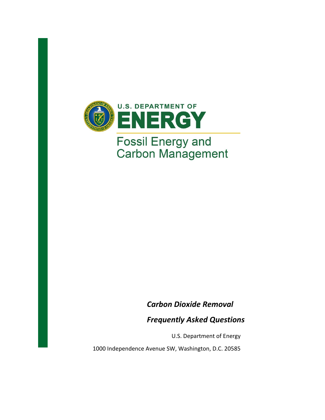

# **Fossil Energy and<br>Carbon Management**

*Carbon Dioxide Removal* 

*Frequently Asked Questions*

U.S. Department of Energy

1000 Independence Avenue SW, Washington, D.C. 20585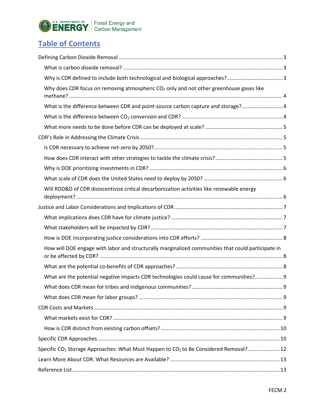

# **Table of Contents**

| Why is CDR defined to include both technological and biological approaches?3                                  |  |
|---------------------------------------------------------------------------------------------------------------|--|
| Why does CDR focus on removing atmospheric CO <sub>2</sub> only and not other greenhouse gases like           |  |
| What is the difference between CDR and point-source carbon capture and storage? 4                             |  |
|                                                                                                               |  |
|                                                                                                               |  |
|                                                                                                               |  |
|                                                                                                               |  |
|                                                                                                               |  |
|                                                                                                               |  |
|                                                                                                               |  |
| Will RDD&D of CDR disincentivize critical decarbonization activities like renewable energy                    |  |
|                                                                                                               |  |
|                                                                                                               |  |
|                                                                                                               |  |
|                                                                                                               |  |
| How will DOE engage with labor and structurally marginalized communities that could participate in            |  |
|                                                                                                               |  |
| What are the potential negative impacts CDR technologies could cause for communities? 9                       |  |
|                                                                                                               |  |
|                                                                                                               |  |
|                                                                                                               |  |
|                                                                                                               |  |
|                                                                                                               |  |
|                                                                                                               |  |
| Specific CO <sub>2</sub> Storage Approaches: What Must Happen to CO <sub>2</sub> to Be Considered Removal? 12 |  |
|                                                                                                               |  |
|                                                                                                               |  |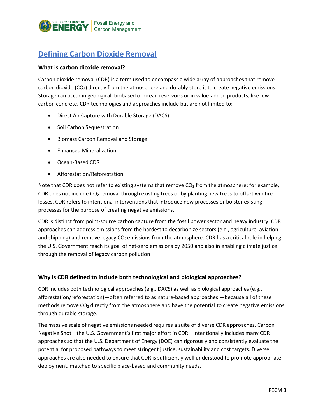

## <span id="page-2-0"></span>**Defining Carbon Dioxide Removal**

#### <span id="page-2-1"></span>**What is carbon dioxide removal?**

Carbon dioxide removal (CDR) is a term used to encompass a wide array of approaches that remove carbon dioxide  $(CO_2)$  directly from the atmosphere and durably store it to create negative emissions. Storage can occur in geological, biobased or ocean reservoirs or in value-added products, like lowcarbon concrete. CDR technologies and approaches include but are not limited to:

- Direct Air Capture with Durable Storage (DACS)
- Soil Carbon Sequestration
- Biomass Carbon Removal and Storage
- Enhanced Mineralization
- Ocean-Based CDR
- Afforestation/Reforestation

Note that CDR does not refer to existing systems that remove  $CO<sub>2</sub>$  from the atmosphere; for example, CDR does not include  $CO<sub>2</sub>$  removal through existing trees or by planting new trees to offset wildfire losses. CDR refers to intentional interventions that introduce new processes or bolster existing processes for the purpose of creating negative emissions.

CDR is distinct from point-source carbon capture from the fossil power sector and heavy industry. CDR approaches can address emissions from the hardest to decarbonize sectors (e.g., agriculture, aviation and shipping) and remove legacy  $CO<sub>2</sub>$  emissions from the atmosphere. CDR has a critical role in helping the U.S. Government reach its goal of net-zero emissions by 2050 and also in enabling climate justice through the removal of legacy carbon pollution

#### <span id="page-2-2"></span>**Why is CDR defined to include both technological and biological approaches?**

CDR includes both technological approaches (e.g., DACS) as well as biological approaches (e.g., afforestation/reforestation)—often referred to as nature-based approaches —because all of these methods remove  $CO<sub>2</sub>$  directly from the atmosphere and have the potential to create negative emissions through durable storage.

The massive scale of negative emissions needed requires a suite of diverse CDR approaches. Carbon Negative Shot—the U.S. Government's first major effort in CDR—intentionally includes many CDR approaches so that the U.S. Department of Energy (DOE) can rigorously and consistently evaluate the potential for proposed pathways to meet stringent justice, sustainability and cost targets. Diverse approaches are also needed to ensure that CDR is sufficiently well understood to promote appropriate deployment, matched to specific place-based and community needs.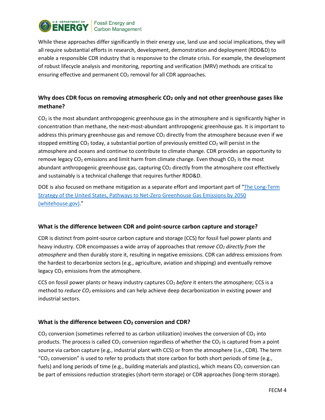

While these approaches differ significantly in their energy use, land use and social implications, they will all require substantial efforts in research, development, demonstration and deployment (RDD&D) to enable a responsible CDR industry that is responsive to the climate crisis. For example, the development of robust lifecycle analysis and monitoring, reporting and verification (MRV) methods are critical to ensuring effective and permanent  $CO<sub>2</sub>$  removal for all CDR approaches.

### <span id="page-3-0"></span>**Why does CDR focus on removing atmospheric CO<sup>2</sup> only and not other greenhouse gases like methane?**

 $CO<sub>2</sub>$  is the most abundant anthropogenic greenhouse gas in the atmosphere and is significantly higher in concentration than methane, the next-most-abundant anthropogenic greenhouse gas. It is important to address this primary greenhouse gas and remove  $CO<sub>2</sub>$  directly from the atmosphere because even if we stopped emitting  $CO<sub>2</sub>$  today, a substantial portion of previously emitted  $CO<sub>2</sub>$  will persist in the atmosphere and oceans and continue to contribute to climate change. CDR provides an opportunity to remove legacy  $CO<sub>2</sub>$  emissions and limit harm from climate change. Even though  $CO<sub>2</sub>$  is the most abundant anthropogenic greenhouse gas, capturing  $CO<sub>2</sub>$  directly from the atmosphere cost effectively and sustainably is a technical challenge that requires further RDD&D.

DOE is also focused on methane mitigation as a separate effort and important part of "[The Long-Term](https://www.whitehouse.gov/wp-content/uploads/2021/10/US-Long-Term-Strategy.pdf)  [Strategy of the United States, Pathways to Net-Zero Greenhouse Gas Emissions by 2050](https://www.whitehouse.gov/wp-content/uploads/2021/10/US-Long-Term-Strategy.pdf)  [\(whitehouse.gov\).](https://www.whitehouse.gov/wp-content/uploads/2021/10/US-Long-Term-Strategy.pdf)"

#### <span id="page-3-1"></span>**What is the difference between CDR and point-source carbon capture and storage?**

CDR is distinct from point-source carbon capture and storage (CCS) for fossil fuel power plants and heavy industry. CDR encompasses a wide array of approaches that *remove CO<sup>2</sup> directly from the atmosphere* and then durably store it, resulting in negative emissions. CDR can address emissions from the hardest to decarbonize sectors (e.g., agriculture, aviation and shipping) and eventually remove legacy CO<sub>2</sub> emissions from the atmosphere.

CCS on fossil power plants or heavy industry captures CO<sup>2</sup> *before* it enters the atmosphere; CCS is a method to *reduce CO<sup>2</sup>* emissions and can help achieve deep decarbonization in existing power and industrial sectors.

#### <span id="page-3-2"></span>**What is the difference between CO<sup>2</sup> conversion and CDR?**

 $CO<sub>2</sub>$  conversion (sometimes referred to as carbon utilization) involves the conversion of  $CO<sub>2</sub>$  into products. The process is called  $CO<sub>2</sub>$  conversion regardless of whether the  $CO<sub>2</sub>$  is captured from a point source via carbon capture (e.g., industrial plant with CCS) or from the atmosphere (i.e., CDR). The term "CO<sub>2</sub> conversion" is used to refer to products that store carbon for both short periods of time (e.g., fuels) and long periods of time (e.g., building materials and plastics), which means  $CO<sub>2</sub>$  conversion can be part of emissions reduction strategies (short-term storage) or CDR approaches (long-term storage).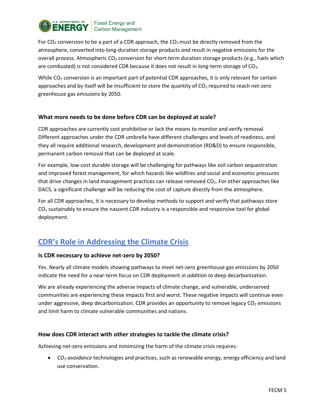

For  $CO<sub>2</sub>$  conversion to be a part of a CDR approach, the  $CO<sub>2</sub>$  must be directly removed from the atmosphere, converted into long-duration storage products *and* result in negative emissions for the overall process. Atmospheric  $CO<sub>2</sub>$  conversion for short-term duration storage products (e.g., fuels which are combusted) is not considered CDR because it does not result in long-term storage of CO<sub>2</sub>.

While CO<sub>2</sub> conversion is an important part of potential CDR approaches, it is only relevant for certain approaches and by itself will be insufficient to store the quantity of CO<sub>2</sub> required to reach net-zero greenhouse gas emissions by 2050.

#### <span id="page-4-0"></span>**What more needs to be done before CDR can be deployed at scale?**

CDR approaches are currently cost prohibitive or lack the means to monitor and verify removal. Different approaches under the CDR umbrella have different challenges and levels of readiness, and they all require additional research, development and demonstration (RD&D) to ensure responsible, permanent carbon removal that can be deployed at scale.

For example, low-cost durable storage will be challenging for pathways like soil carbon sequestration and improved forest management, for which hazards like wildfires and social and economic pressures that drive changes in land management practices can release removed  $CO<sub>2</sub>$ . For other approaches like DACS, a significant challenge will be reducing the cost of capture directly from the atmosphere.

For all CDR approaches, it is necessary to develop methods to support and verify that pathways store  $CO<sub>2</sub>$  sustainably to ensure the nascent CDR industry is a responsible and responsive tool for global deployment.

## <span id="page-4-1"></span>**CDR's Role in Addressing the Climate Crisis**

#### <span id="page-4-2"></span>**Is CDR necessary to achieve net-zero by 2050?**

Yes. Nearly all climate models showing pathways to meet net-zero greenhouse gas emissions by 2050 indicate the need for a near-term focus on CDR deployment *in addition to* deep decarbonization.

We are already experiencing the adverse impacts of climate change, and vulnerable, underserved communities are experiencing these impacts first and worst. These negative impacts will continue even under aggressive, deep decarbonization. CDR provides an opportunity to remove legacy  $CO<sub>2</sub>$  emissions and limit harm to climate vulnerable communities and nations.

#### <span id="page-4-3"></span>**How does CDR interact with other strategies to tackle the climate crisis?**

Achieving net-zero emissions and minimizing the harm of the climate crisis requires:

• *CO2-avoidance* technologies and practices, such as renewable energy, energy efficiency and land use conservation.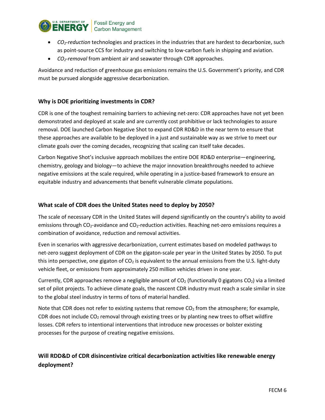

- *CO2-reduction* technologies and practices in the industries that are hardest to decarbonize, such as point-source CCS for industry and switching to low-carbon fuels in shipping and aviation.
- *CO2-removal* from ambient air and seawater through CDR approaches.

Avoidance and reduction of greenhouse gas emissions remains the U.S. Government's priority, and CDR must be pursued alongside aggressive decarbonization.

#### <span id="page-5-0"></span>**Why is DOE prioritizing investments in CDR?**

CDR is one of the toughest remaining barriers to achieving net-zero: CDR approaches have not yet been demonstrated and deployed at scale and are currently cost prohibitive or lack technologies to assure removal. DOE launched Carbon Negative Shot to expand CDR RD&D in the near term to ensure that these approaches are available to be deployed in a just and sustainable way as we strive to meet our climate goals over the coming decades, recognizing that scaling can itself take decades.

Carbon Negative Shot's inclusive approach mobilizes the entire DOE RD&D enterprise—engineering, chemistry, geology and biology—to achieve the major innovation breakthroughs needed to achieve negative emissions at the scale required, while operating in a justice-based framework to ensure an equitable industry and advancements that benefit vulnerable climate populations.

#### <span id="page-5-1"></span>**What scale of CDR does the United States need to deploy by 2050?**

The scale of necessary CDR in the United States will depend significantly on the country's ability to avoid emissions through CO<sub>2</sub>-avoidance and CO<sub>2</sub>-reduction activities. Reaching net-zero emissions requires a combination of avoidance, reduction and removal activities.

Even in scenarios with aggressive decarbonization, current estimates based on modeled pathways to net-zero suggest deployment of CDR on the gigaton-scale per year in the United States by 2050. To put this into perspective, one gigaton of  $CO<sub>2</sub>$  is equivalent to the annual emissions from the U.S. light-duty vehicle fleet, or emissions from approximately 250 million vehicles driven in one year.

Currently, CDR approaches remove a negligible amount of  $CO<sub>2</sub>$  (functionally 0 gigatons  $CO<sub>2</sub>$ ) via a limited set of pilot projects. To achieve climate goals, the nascent CDR industry must reach a scale similar in size to the global steel industry in terms of tons of material handled.

Note that CDR does not refer to existing systems that remove  $CO<sub>2</sub>$  from the atmosphere; for example, CDR does not include  $CO<sub>2</sub>$  removal through existing trees or by planting new trees to offset wildfire losses. CDR refers to intentional interventions that introduce new processes or bolster existing processes for the purpose of creating negative emissions.

## <span id="page-5-2"></span>**Will RDD&D of CDR disincentivize critical decarbonization activities like renewable energy deployment?**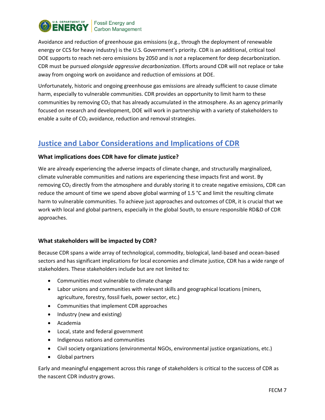

Avoidance and reduction of greenhouse gas emissions (e.g., through the deployment of renewable energy or CCS for heavy industry) is the U.S. Government's priority. CDR is an additional, critical tool DOE supports to reach net-zero emissions by 2050 and is *not* a replacement for deep decarbonization. CDR must be pursued *alongside aggressive decarbonization*. Efforts around CDR will not replace or take away from ongoing work on avoidance and reduction of emissions at DOE.

Unfortunately, historic and ongoing greenhouse gas emissions are already sufficient to cause climate harm, especially to vulnerable communities. CDR provides an opportunity to limit harm to these communities by removing  $CO<sub>2</sub>$  that has already accumulated in the atmosphere. As an agency primarily focused on research and development, DOE will work in partnership with a variety of stakeholders to enable a suite of  $CO<sub>2</sub>$  avoidance, reduction and removal strategies.

## <span id="page-6-0"></span>**Justice and Labor Considerations and Implications of CDR**

#### <span id="page-6-1"></span>**What implications does CDR have for climate justice?**

We are already experiencing the adverse impacts of climate change, and structurally marginalized, climate vulnerable communities and nations are experiencing these impacts first and worst. By removing CO<sub>2</sub> directly from the atmosphere and durably storing it to create negative emissions, CDR can reduce the amount of time we spend above global warming of 1.5 °C and limit the resulting climate harm to vulnerable communities. To achieve just approaches and outcomes of CDR, it is crucial that we work with local and global partners, especially in the global South, to ensure responsible RD&D of CDR approaches.

#### <span id="page-6-2"></span>**What stakeholders will be impacted by CDR?**

Because CDR spans a wide array of technological, commodity, biological, land-based and ocean-based sectors and has significant implications for local economies and climate justice, CDR has a wide range of stakeholders. These stakeholders include but are not limited to:

- Communities most vulnerable to climate change
- Labor unions and communities with relevant skills and geographical locations (miners, agriculture, forestry, fossil fuels, power sector, etc.)
- Communities that implement CDR approaches
- Industry (new and existing)
- Academia
- Local, state and federal government
- Indigenous nations and communities
- Civil society organizations (environmental NGOs, environmental justice organizations, etc.)
- Global partners

Early and meaningful engagement across this range of stakeholders is critical to the success of CDR as the nascent CDR industry grows.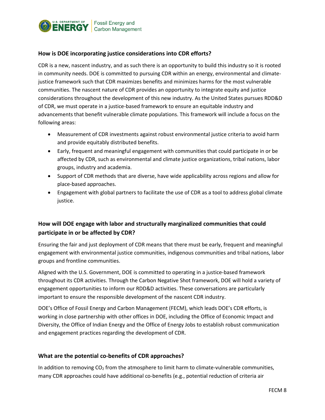

#### <span id="page-7-0"></span>**How is DOE incorporating justice considerations into CDR efforts?**

CDR is a new, nascent industry, and as such there is an opportunity to build this industry so it is rooted in community needs. DOE is committed to pursuing CDR within an energy, environmental and climatejustice framework such that CDR maximizes benefits and minimizes harms for the most vulnerable communities. The nascent nature of CDR provides an opportunity to integrate equity and justice considerations throughout the development of this new industry. As the United States pursues RDD&D of CDR, we must operate in a justice-based framework to ensure an equitable industry and advancements that benefit vulnerable climate populations. This framework will include a focus on the following areas:

- Measurement of CDR investments against robust environmental justice criteria to avoid harm and provide equitably distributed benefits.
- Early, frequent and meaningful engagement with communities that could participate in or be affected by CDR, such as environmental and climate justice organizations, tribal nations, labor groups, industry and academia.
- Support of CDR methods that are diverse, have wide applicability across regions and allow for place-based approaches.
- Engagement with global partners to facilitate the use of CDR as a tool to address global climate justice.

#### <span id="page-7-1"></span>**How will DOE engage with labor and structurally marginalized communities that could participate in or be affected by CDR?**

Ensuring the fair and just deployment of CDR means that there must be early, frequent and meaningful engagement with environmental justice communities, indigenous communities and tribal nations, labor groups and frontline communities.

Aligned with the U.S. Government, DOE is committed to operating in a justice-based framework throughout its CDR activities. Through the Carbon Negative Shot framework, DOE will hold a variety of engagement opportunities to inform our RDD&D activities. These conversations are particularly important to ensure the responsible development of the nascent CDR industry.

DOE's Office of Fossil Energy and Carbon Management (FECM), which leads DOE's CDR efforts, is working in close partnership with other offices in DOE, including the Office of Economic Impact and Diversity, the Office of Indian Energy and the Office of Energy Jobs to establish robust communication and engagement practices regarding the development of CDR.

#### <span id="page-7-2"></span>**What are the potential co-benefits of CDR approaches?**

In addition to removing CO<sub>2</sub> from the atmosphere to limit harm to climate-vulnerable communities, many CDR approaches could have additional co-benefits (e.g., potential reduction of criteria air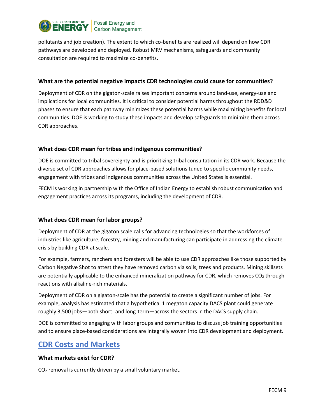

pollutants and job creation). The extent to which co-benefits are realized will depend on how CDR pathways are developed and deployed. Robust MRV mechanisms, safeguards and community consultation are required to maximize co-benefits.

#### <span id="page-8-0"></span>**What are the potential negative impacts CDR technologies could cause for communities?**

Deployment of CDR on the gigaton-scale raises important concerns around land-use, energy-use and implications for local communities. It is critical to consider potential harms throughout the RDD&D phases to ensure that each pathway minimizes these potential harms while maximizing benefits for local communities. DOE is working to study these impacts and develop safeguards to minimize them across CDR approaches.

#### <span id="page-8-1"></span>**What does CDR mean for tribes and indigenous communities?**

DOE is committed to tribal sovereignty and is prioritizing tribal consultation in its CDR work. Because the diverse set of CDR approaches allows for place-based solutions tuned to specific community needs, engagement with tribes and indigenous communities across the United States is essential.

FECM is working in partnership with the Office of Indian Energy to establish robust communication and engagement practices across its programs, including the development of CDR.

#### <span id="page-8-2"></span>**What does CDR mean for labor groups?**

Deployment of CDR at the gigaton scale calls for advancing technologies so that the workforces of industries like agriculture, forestry, mining and manufacturing can participate in addressing the climate crisis by building CDR at scale.

For example, farmers, ranchers and foresters will be able to use CDR approaches like those supported by Carbon Negative Shot to attest they have removed carbon via soils, trees and products. Mining skillsets are potentially applicable to the enhanced mineralization pathway for CDR, which removes  $CO<sub>2</sub>$  through reactions with alkaline-rich materials.

Deployment of CDR on a gigaton-scale has the potential to create a significant number of jobs. For example, analysis has estimated that a hypothetical 1 megaton capacity DACS plant could generate roughly 3,500 jobs—both short- and long-term—across the sectors in the DACS supply chain.

DOE is committed to engaging with labor groups and communities to discuss job training opportunities and to ensure place-based considerations are integrally woven into CDR development and deployment.

## <span id="page-8-3"></span>**CDR Costs and Markets**

#### <span id="page-8-4"></span>**What markets exist for CDR?**

CO<sup>2</sup> removal is currently driven by a small voluntary market.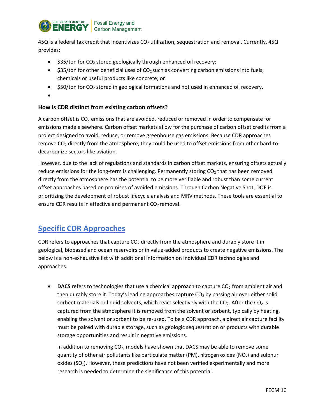

45Q is a federal tax credit that incentivizes CO<sub>2</sub> utilization, sequestration and removal. Currently, 45Q provides:

- $\bullet$  \$35/ton for CO<sub>2</sub> stored geologically through enhanced oil recovery;
- $$35/ton$  for other beneficial uses of CO<sub>2</sub> such as converting carbon emissions into fuels, chemicals or useful products like concrete; or
- $$50/ton$  for CO<sub>2</sub> stored in geological formations and not used in enhanced oil recovery.
- •

#### <span id="page-9-0"></span>**How is CDR distinct from existing carbon offsets?**

A carbon offset is  $CO<sub>2</sub>$  emissions that are avoided, reduced or removed in order to compensate for emissions made elsewhere. Carbon offset markets allow for the purchase of carbon offset credits from a project designed to avoid, reduce, or remove greenhouse gas emissions. Because CDR approaches remove  $CO<sub>2</sub>$  directly from the atmosphere, they could be used to offset emissions from other hard-todecarbonize sectors like aviation.

However, due to the lack of regulations and standards in carbon offset markets, ensuring offsets actually reduce emissions for the long-term is challenging. Permanently storing  $CO<sub>2</sub>$  that has been removed directly from the atmosphere has the potential to be more verifiable and robust than some current offset approaches based on promises of avoided emissions. Through Carbon Negative Shot, DOE is prioritizing the development of robust lifecycle analysis and MRV methods. These tools are essential to ensure CDR results in effective and permanent  $CO<sub>2</sub>$  removal.

## <span id="page-9-1"></span>**Specific CDR Approaches**

CDR refers to approaches that capture  $CO<sub>2</sub>$  directly from the atmosphere and durably store it in geological, biobased and ocean reservoirs or in value-added products to create negative emissions. The below is a non-exhaustive list with additional information on individual CDR technologies and approaches.

• **DACS** refers to technologies that use a chemical approach to capture  $CO<sub>2</sub>$  from ambient air and then durably store it. Today's leading approaches capture  $CO<sub>2</sub>$  by passing air over either solid sorbent materials or liquid solvents, which react selectively with the  $CO<sub>2</sub>$ . After the  $CO<sub>2</sub>$  is captured from the atmosphere it is removed from the solvent or sorbent, typically by heating, enabling the solvent or sorbent to be re-used. To be a CDR approach, a direct air capture facility must be paired with durable storage, such as geologic sequestration or products with durable storage opportunities and result in negative emissions.

In addition to removing  $CO<sub>2</sub>$ , models have shown that DACS may be able to remove some quantity of other air pollutants like particulate matter (PM), nitrogen oxides (NO<sub>x</sub>) and sulphur oxides ( $SO_{x}$ ). However, these predictions have not been verified experimentally and more research is needed to determine the significance of this potential.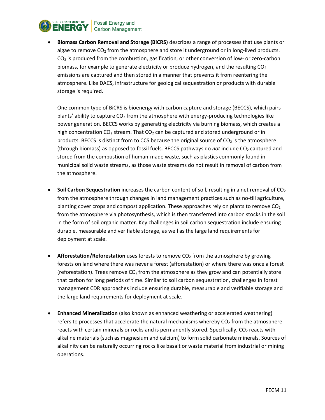

• **Biomass Carbon Removal and Storage (BiCRS)** describes a range of processes that use plants or algae to remove  $CO<sub>2</sub>$  from the atmosphere and store it underground or in long-lived products.  $CO<sub>2</sub>$  is produced from the combustion, gasification, or other conversion of low- or zero-carbon biomass, for example to generate electricity or produce hydrogen, and the resulting  $CO<sub>2</sub>$ emissions are captured and then stored in a manner that prevents it from reentering the atmosphere. Like DACS, infrastructure for geological sequestration or products with durable storage is required.

One common type of BiCRS is bioenergy with carbon capture and storage (BECCS), which pairs plants' ability to capture  $CO<sub>2</sub>$  from the atmosphere with energy-producing technologies like power generation. BECCS works by generating electricity via burning biomass, which creates a high concentration  $CO<sub>2</sub>$  stream. That  $CO<sub>2</sub>$  can be captured and stored underground or in products. BECCS is distinct from to CCS because the original source of  $CO<sub>2</sub>$  is the atmosphere (through biomass) as opposed to fossil fuels. BECCS pathways do *not* include CO<sub>2</sub> captured and stored from the combustion of human-made waste, such as plastics commonly found in municipal solid waste streams, as those waste streams do not result in removal of carbon from the atmosphere.

- Soil Carbon Sequestration increases the carbon content of soil, resulting in a net removal of CO<sub>2</sub> from the atmosphere through changes in land management practices such as no-till agriculture, planting cover crops and compost application. These approaches rely on plants to remove  $CO<sub>2</sub>$ from the atmosphere via photosynthesis, which is then transferred into carbon stocks in the soil in the form of soil organic matter. Key challenges in soil carbon sequestration include ensuring durable, measurable and verifiable storage, as well as the large land requirements for deployment at scale.
- **Afforestation/Reforestation** uses forests to remove CO<sub>2</sub> from the atmosphere by growing forests on land where there was never a forest (afforestation) or where there was once a forest (reforestation). Trees remove  $CO<sub>2</sub>$  from the atmosphere as they grow and can potentially store that carbon for long periods of time. Similar to soil carbon sequestration, challenges in forest management CDR approaches include ensuring durable, measurable and verifiable storage and the large land requirements for deployment at scale.
- **Enhanced Mineralization** (also known as enhanced weathering or accelerated weathering) refers to processes that accelerate the natural mechanisms whereby  $CO<sub>2</sub>$  from the atmosphere reacts with certain minerals or rocks and is permanently stored. Specifically,  $CO<sub>2</sub>$  reacts with alkaline materials (such as magnesium and calcium) to form solid carbonate minerals. Sources of alkalinity can be naturally occurring rocks like basalt or waste material from industrial or mining operations.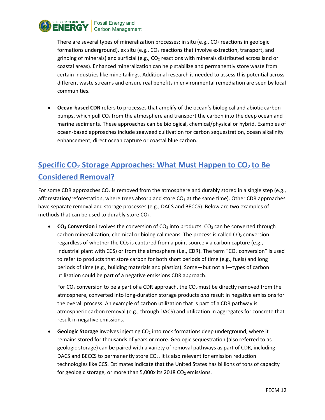

There are several types of mineralization processes: in situ (e.g.,  $CO<sub>2</sub>$  reactions in geologic formations underground), ex situ (e.g.,  $CO<sub>2</sub>$  reactions that involve extraction, transport, and grinding of minerals) and surficial (e.g.,  $CO<sub>2</sub>$  reactions with minerals distributed across land or coastal areas). Enhanced mineralization can help stabilize and permanently store waste from certain industries like mine tailings. Additional research is needed to assess this potential across different waste streams and ensure real benefits in environmental remediation are seen by local communities.

• **Ocean-based CDR** refers to processes that amplify of the ocean's biological and abiotic carbon pumps, which pull  $CO<sub>2</sub>$  from the atmosphere and transport the carbon into the deep ocean and marine sediments. These approaches can be biological, chemical/physical or hybrid. Examples of ocean-based approaches include **s**eaweed cultivation for carbon sequestration, ocean alkalinity enhancement, direct ocean capture or coastal blue carbon.

## <span id="page-11-0"></span>**Specific CO<sup>2</sup> Storage Approaches: What Must Happen to CO2 to Be Considered Removal?**

For some CDR approaches  $CO<sub>2</sub>$  is removed from the atmosphere and durably stored in a single step (e.g., afforestation/reforestation, where trees absorb and store  $CO<sub>2</sub>$  at the same time). Other CDR approaches have separate removal and storage processes (e.g., DACS and BECCS). Below are two examples of methods that can be used to durably store  $CO<sub>2</sub>$ .

• **CO<sub>2</sub> Conversion** involves the conversion of CO<sub>2</sub> into products. CO<sub>2</sub> can be converted through carbon mineralization, chemical or biological means. The process is called  $CO<sub>2</sub>$  conversion regardless of whether the  $CO<sub>2</sub>$  is captured from a point source via carbon capture (e.g., industrial plant with CCS) or from the atmosphere (i.e., CDR). The term "CO<sub>2</sub> conversion" is used to refer to products that store carbon for both short periods of time (e.g., fuels) and long periods of time (e.g., building materials and plastics). Some—but not all—types of carbon utilization could be part of a negative emissions CDR approach.

For  $CO<sub>2</sub>$  conversion to be a part of a CDR approach, the  $CO<sub>2</sub>$  must be directly removed from the atmosphere, converted into long-duration storage products *and* result in negative emissions for the overall process. An example of carbon utilization that is part of a CDR pathway is atmospheric carbon removal (e.g., through DACS) and utilization in aggregates for concrete that result in negative emissions.

**Geologic Storage** involves injecting CO<sub>2</sub> into rock formations deep underground, where it remains stored for thousands of years or more. Geologic sequestration (also referred to as geologic storage) can be paired with a variety of removal pathways as part of CDR, including DACS and BECCS to permanently store CO<sub>2</sub>. It is also relevant for emission reduction technologies like CCS. Estimates indicate that the United States has billions of tons of capacity for geologic storage, or more than 5,000x its 2018  $CO<sub>2</sub>$  emissions.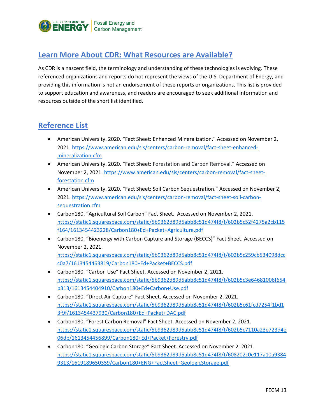

## <span id="page-12-0"></span>**Learn More About CDR: What Resources are Available?**

As CDR is a nascent field, the terminology and understanding of these technologies is evolving. These referenced organizations and reports do not represent the views of the U.S. Department of Energy, and providing this information is not an endorsement of these reports or organizations. This list is provided to support education and awareness, and readers are encouraged to seek additional information and resources outside of the short list identified.

## <span id="page-12-1"></span>**Reference List**

- American University. 2020. "Fact Sheet: Enhanced Mineralization." Accessed on November 2, 2021. [https://www.american.edu/sis/centers/carbon-removal/fact-sheet-enhanced](https://www.american.edu/sis/centers/carbon-removal/fact-sheet-enhanced-mineralization.cfm)[mineralization.cfm](https://www.american.edu/sis/centers/carbon-removal/fact-sheet-enhanced-mineralization.cfm)
- American University. 2020. "Fact Sheet: Forestation and Carbon Removal." Accessed on November 2, 2021. [https://www.american.edu/sis/centers/carbon-removal/fact-sheet](https://www.american.edu/sis/centers/carbon-removal/fact-sheet-forestation.cfm)[forestation.cfm](https://www.american.edu/sis/centers/carbon-removal/fact-sheet-forestation.cfm)
- American University. 2020. "Fact Sheet: Soil Carbon Sequestration." Accessed on November 2, 2021[. https://www.american.edu/sis/centers/carbon-removal/fact-sheet-soil-carbon](https://www.american.edu/sis/centers/carbon-removal/fact-sheet-soil-carbon-sequestration.cfm)[sequestration.cfm](https://www.american.edu/sis/centers/carbon-removal/fact-sheet-soil-carbon-sequestration.cfm)
- Carbon180. "Agricultural Soil Carbon" Fact Sheet. Accessed on November 2, 2021. [https://static1.squarespace.com/static/5b9362d89d5abb8c51d474f8/t/602b5c52f4275a2cb115](https://static1.squarespace.com/static/5b9362d89d5abb8c51d474f8/t/602b5c52f4275a2cb115f164/1613454423228/Carbon180+Ed+Packet+Agriculture.pdf) [f164/1613454423228/Carbon180+Ed+Packet+Agriculture.pdf](https://static1.squarespace.com/static/5b9362d89d5abb8c51d474f8/t/602b5c52f4275a2cb115f164/1613454423228/Carbon180+Ed+Packet+Agriculture.pdf)
- Carbon180. "Bioenergy with Carbon Capture and Storage (BECCS)" Fact Sheet. Accessed on November 2, 2021. [https://static1.squarespace.com/static/5b9362d89d5abb8c51d474f8/t/602b5c259cb534098dcc](https://static1.squarespace.com/static/5b9362d89d5abb8c51d474f8/t/602b5c259cb534098dccc0a7/1613454463819/Carbon180+Ed+Packet+BECCS.pdf) [c0a7/1613454463819/Carbon180+Ed+Packet+BECCS.pdf](https://static1.squarespace.com/static/5b9362d89d5abb8c51d474f8/t/602b5c259cb534098dccc0a7/1613454463819/Carbon180+Ed+Packet+BECCS.pdf)
- Carbon180. "Carbon Use" Fact Sheet. Accessed on November 2, 2021. [https://static1.squarespace.com/static/5b9362d89d5abb8c51d474f8/t/602b5c3e64681006f654](https://static1.squarespace.com/static/5b9362d89d5abb8c51d474f8/t/602b5c3e64681006f654b313/1613454404910/Carbon180+Ed+Carbon+Use.pdf) [b313/1613454404910/Carbon180+Ed+Carbon+Use.pdf](https://static1.squarespace.com/static/5b9362d89d5abb8c51d474f8/t/602b5c3e64681006f654b313/1613454404910/Carbon180+Ed+Carbon+Use.pdf)
- Carbon180. "Direct Air Capture" Fact Sheet. Accessed on November 2, 2021. [https://static1.squarespace.com/static/5b9362d89d5abb8c51d474f8/t/602b5c61fcd7254f1bd1](https://static1.squarespace.com/static/5b9362d89d5abb8c51d474f8/t/602b5c61fcd7254f1bd13f9f/1613454437930/Carbon180+Ed+Packet+DAC.pdf) [3f9f/1613454437930/Carbon180+Ed+Packet+DAC.pdf](https://static1.squarespace.com/static/5b9362d89d5abb8c51d474f8/t/602b5c61fcd7254f1bd13f9f/1613454437930/Carbon180+Ed+Packet+DAC.pdf)
- Carbon180. "Forest Carbon Removal" Fact Sheet. Accessed on November 2, 2021. [https://static1.squarespace.com/static/5b9362d89d5abb8c51d474f8/t/602b5c7110a23e723d4e](https://static1.squarespace.com/static/5b9362d89d5abb8c51d474f8/t/602b5c7110a23e723d4e06db/1613454456899/Carbon180+Ed+Packet+Forestry.pdf) [06db/1613454456899/Carbon180+Ed+Packet+Forestry.pdf](https://static1.squarespace.com/static/5b9362d89d5abb8c51d474f8/t/602b5c7110a23e723d4e06db/1613454456899/Carbon180+Ed+Packet+Forestry.pdf)
- Carbon180. "Geologic Carbon Storage" Fact Sheet. Accessed on November 2, 2021. [https://static1.squarespace.com/static/5b9362d89d5abb8c51d474f8/t/608202c0e117a10a9384](https://static1.squarespace.com/static/5b9362d89d5abb8c51d474f8/t/608202c0e117a10a93849313/1619189650359/Carbon180+ENG+FactSheet+GeologicStorage.pdf) [9313/1619189650359/Carbon180+ENG+FactSheet+GeologicStorage.pdf](https://static1.squarespace.com/static/5b9362d89d5abb8c51d474f8/t/608202c0e117a10a93849313/1619189650359/Carbon180+ENG+FactSheet+GeologicStorage.pdf)